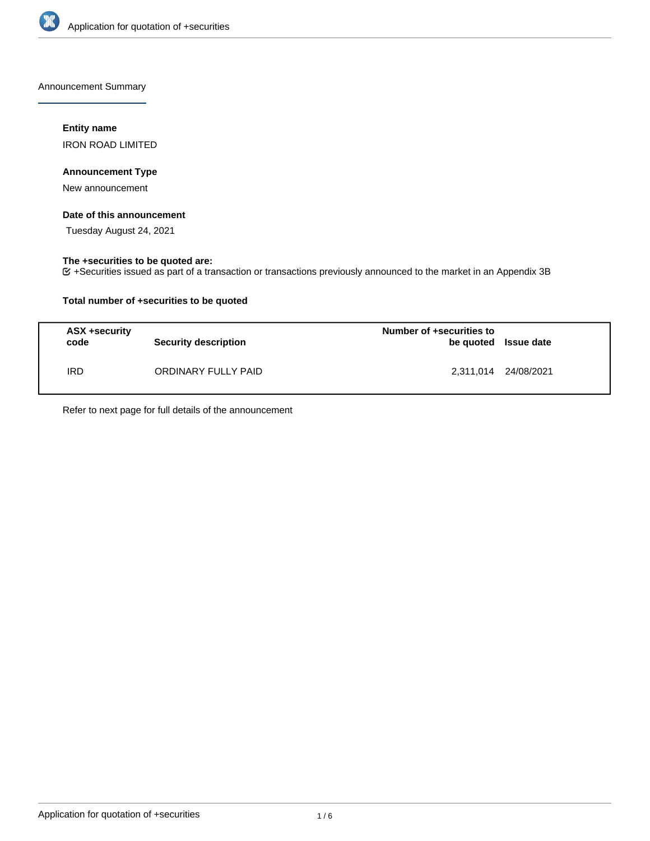

Announcement Summary

## **Entity name**

IRON ROAD LIMITED

## **Announcement Type**

New announcement

## **Date of this announcement**

Tuesday August 24, 2021

## **The +securities to be quoted are:**

+Securities issued as part of a transaction or transactions previously announced to the market in an Appendix 3B

## **Total number of +securities to be quoted**

| ASX +security<br>code | <b>Security description</b> | Number of +securities to<br>be quoted Issue date |                      |
|-----------------------|-----------------------------|--------------------------------------------------|----------------------|
| <b>IRD</b>            | ORDINARY FULLY PAID         |                                                  | 2,311,014 24/08/2021 |

Refer to next page for full details of the announcement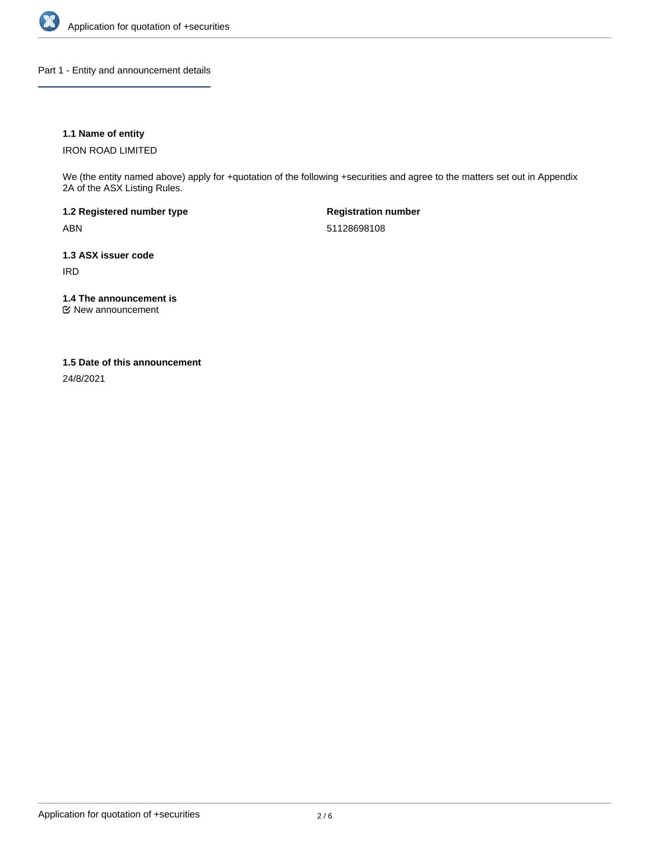

Part 1 - Entity and announcement details

## **1.1 Name of entity**

IRON ROAD LIMITED

We (the entity named above) apply for +quotation of the following +securities and agree to the matters set out in Appendix 2A of the ASX Listing Rules.

**1.2 Registered number type** ABN

**Registration number** 51128698108

**1.3 ASX issuer code** IRD

**1.4 The announcement is**

New announcement

### **1.5 Date of this announcement**

24/8/2021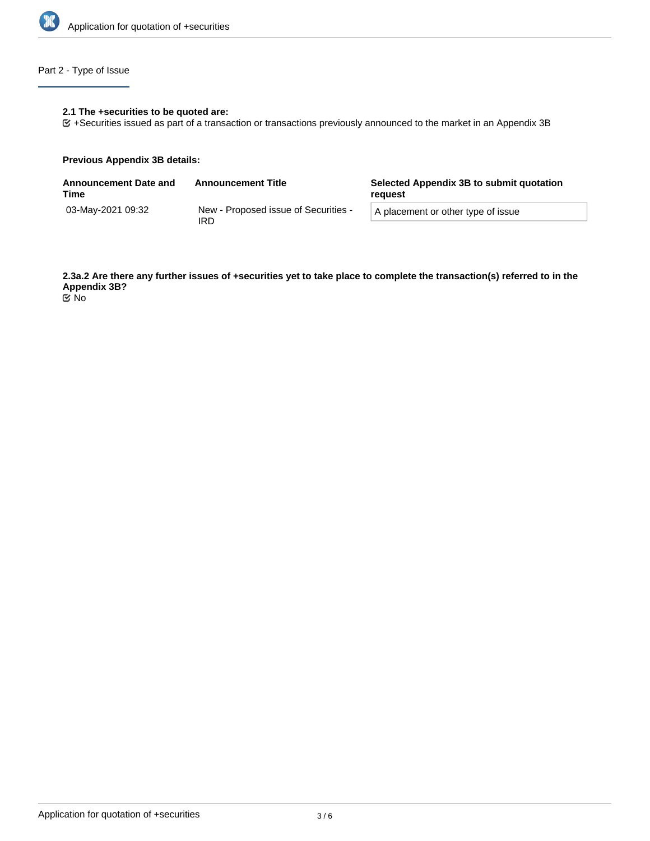

# Part 2 - Type of Issue

## **2.1 The +securities to be quoted are:**

+Securities issued as part of a transaction or transactions previously announced to the market in an Appendix 3B

### **Previous Appendix 3B details:**

| <b>Announcement Date and</b><br>Time | <b>Announcement Title</b>                   | Selected Appendix 3B to submit quotation<br>reguest |  |
|--------------------------------------|---------------------------------------------|-----------------------------------------------------|--|
| 03-Mav-2021 09:32                    | New - Proposed issue of Securities -<br>IRD | A placement or other type of issue                  |  |

**2.3a.2 Are there any further issues of +securities yet to take place to complete the transaction(s) referred to in the Appendix 3B?** No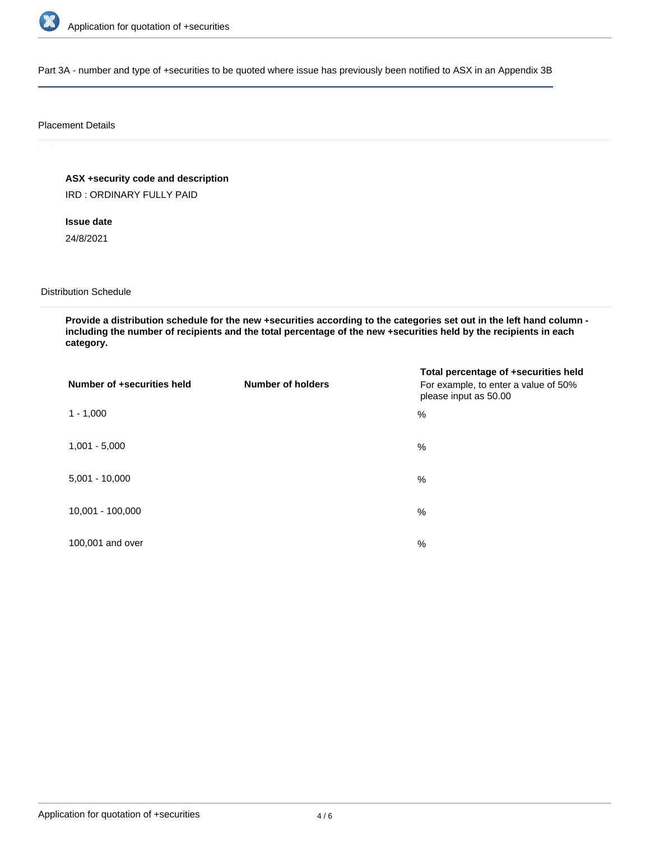

Part 3A - number and type of +securities to be quoted where issue has previously been notified to ASX in an Appendix 3B

### Placement Details

**ASX +security code and description**

IRD : ORDINARY FULLY PAID

**Issue date**

24/8/2021

Distribution Schedule

**Provide a distribution schedule for the new +securities according to the categories set out in the left hand column including the number of recipients and the total percentage of the new +securities held by the recipients in each category.**

| Number of +securities held | <b>Number of holders</b> | Total percentage of +securities held<br>For example, to enter a value of 50%<br>please input as 50.00 |
|----------------------------|--------------------------|-------------------------------------------------------------------------------------------------------|
| $1 - 1,000$                |                          | %                                                                                                     |
| $1,001 - 5,000$            |                          | $\%$                                                                                                  |
| $5,001 - 10,000$           |                          | %                                                                                                     |
| 10,001 - 100,000           |                          | $\%$                                                                                                  |
| 100,001 and over           |                          | $\%$                                                                                                  |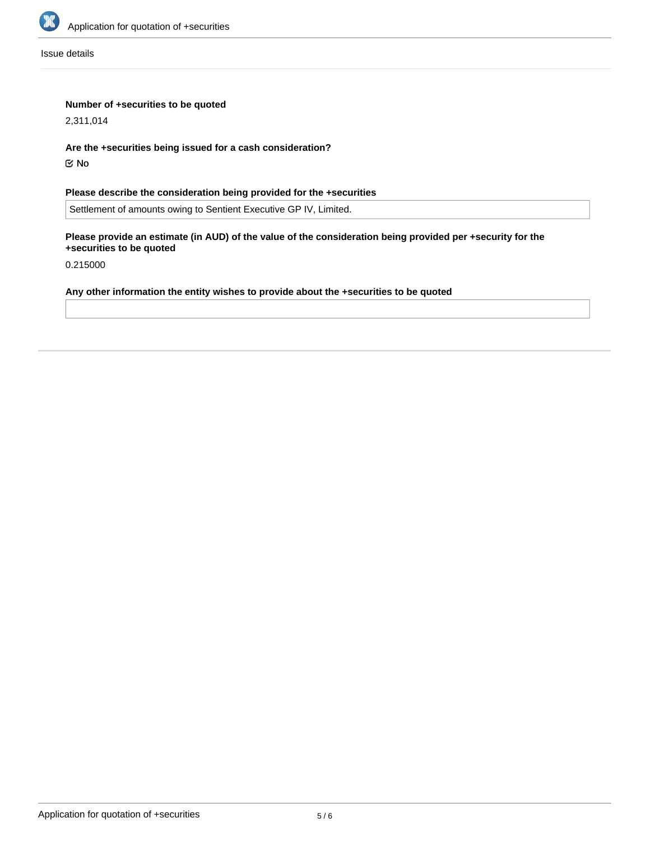

Issue details

## **Number of +securities to be quoted**

2,311,014

**Are the +securities being issued for a cash consideration?**

No

**Please describe the consideration being provided for the +securities**

Settlement of amounts owing to Sentient Executive GP IV, Limited.

**Please provide an estimate (in AUD) of the value of the consideration being provided per +security for the +securities to be quoted**

0.215000

# **Any other information the entity wishes to provide about the +securities to be quoted**